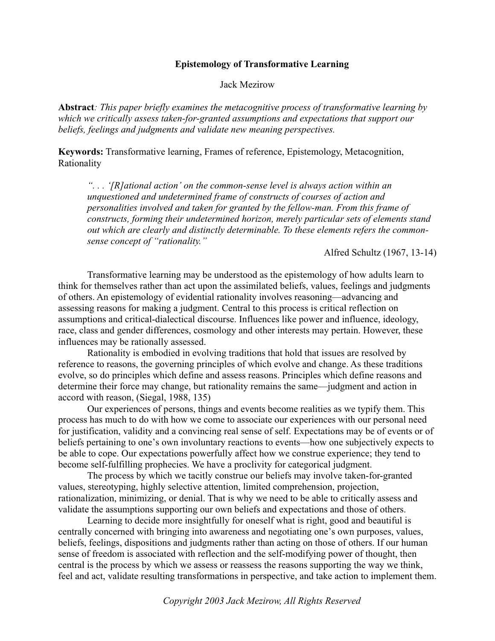## **Epistemology of Transformative Learning**

Jack Mezirow

**Abstract***: This paper briefly examines the metacognitive process of transformative learning by which we critically assess taken-for-granted assumptions and expectations that support our beliefs, feelings and judgments and validate new meaning perspectives.*

**Keywords:** Transformative learning, Frames of reference, Epistemology, Metacognition, Rationality

*". . . '[R]ational action' on the common-sense level is always action within an unquestioned and undetermined frame of constructs of courses of action and personalities involved and taken for granted by the fellow-man. From this frame of constructs, forming their undetermined horizon, merely particular sets of elements stand out which are clearly and distinctly determinable. To these elements refers the commonsense concept of "rationality."*

Alfred Schultz (1967, 13-14)

Transformative learning may be understood as the epistemology of how adults learn to think for themselves rather than act upon the assimilated beliefs, values, feelings and judgments of others. An epistemology of evidential rationality involves reasoning—advancing and assessing reasons for making a judgment. Central to this process is critical reflection on assumptions and critical-dialectical discourse. Influences like power and influence, ideology, race, class and gender differences, cosmology and other interests may pertain. However, these influences may be rationally assessed.

Rationality is embodied in evolving traditions that hold that issues are resolved by reference to reasons, the governing principles of which evolve and change. As these traditions evolve, so do principles which define and assess reasons. Principles which define reasons and determine their force may change, but rationality remains the same—judgment and action in accord with reason, (Siegal, 1988, 135)

Our experiences of persons, things and events become realities as we typify them. This process has much to do with how we come to associate our experiences with our personal need for justification, validity and a convincing real sense of self. Expectations may be of events or of beliefs pertaining to one's own involuntary reactions to events—how one subjectively expects to be able to cope. Our expectations powerfully affect how we construe experience; they tend to become self-fulfilling prophecies. We have a proclivity for categorical judgment.

The process by which we tacitly construe our beliefs may involve taken-for-granted values, stereotyping, highly selective attention, limited comprehension, projection, rationalization, minimizing, or denial. That is why we need to be able to critically assess and validate the assumptions supporting our own beliefs and expectations and those of others.

Learning to decide more insightfully for oneself what is right, good and beautiful is centrally concerned with bringing into awareness and negotiating one's own purposes, values, beliefs, feelings, dispositions and judgments rather than acting on those of others. If our human sense of freedom is associated with reflection and the self-modifying power of thought, then central is the process by which we assess or reassess the reasons supporting the way we think, feel and act, validate resulting transformations in perspective, and take action to implement them.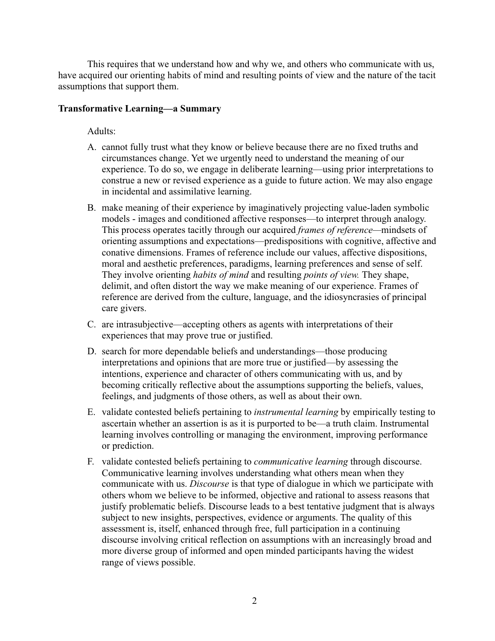This requires that we understand how and why we, and others who communicate with us, have acquired our orienting habits of mind and resulting points of view and the nature of the tacit assumptions that support them.

## **Transformative Learning—a Summary**

Adults:

- A. cannot fully trust what they know or believe because there are no fixed truths and circumstances change. Yet we urgently need to understand the meaning of our experience. To do so, we engage in deliberate learning—using prior interpretations to construe a new or revised experience as a guide to future action. We may also engage in incidental and assimilative learning.
- B. make meaning of their experience by imaginatively projecting value-laden symbolic models - images and conditioned affective responses—to interpret through analogy. This process operates tacitly through our acquired *frames of reference—*mindsets of orienting assumptions and expectations—predispositions with cognitive, affective and conative dimensions. Frames of reference include our values, affective dispositions, moral and aesthetic preferences, paradigms, learning preferences and sense of self. They involve orienting *habits of mind* and resulting *points of view.* They shape, delimit, and often distort the way we make meaning of our experience. Frames of reference are derived from the culture, language, and the idiosyncrasies of principal care givers.
- C. are intrasubjective—accepting others as agents with interpretations of their experiences that may prove true or justified.
- D. search for more dependable beliefs and understandings—those producing interpretations and opinions that are more true or justified—by assessing the intentions, experience and character of others communicating with us, and by becoming critically reflective about the assumptions supporting the beliefs, values, feelings, and judgments of those others, as well as about their own.
- E. validate contested beliefs pertaining to *instrumental learning* by empirically testing to ascertain whether an assertion is as it is purported to be—a truth claim. Instrumental learning involves controlling or managing the environment, improving performance or prediction.
- F. validate contested beliefs pertaining to *communicative learning* through discourse. Communicative learning involves understanding what others mean when they communicate with us. *Discourse* is that type of dialogue in which we participate with others whom we believe to be informed, objective and rational to assess reasons that justify problematic beliefs. Discourse leads to a best tentative judgment that is always subject to new insights, perspectives, evidence or arguments. The quality of this assessment is, itself, enhanced through free, full participation in a continuing discourse involving critical reflection on assumptions with an increasingly broad and more diverse group of informed and open minded participants having the widest range of views possible.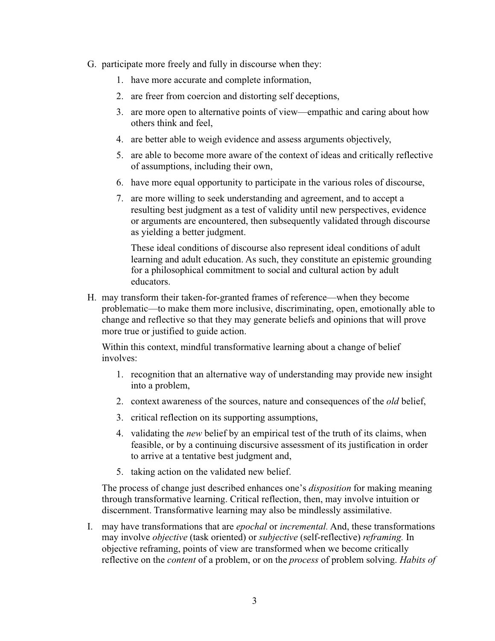- G. participate more freely and fully in discourse when they:
	- 1. have more accurate and complete information,
	- 2. are freer from coercion and distorting self deceptions,
	- 3. are more open to alternative points of view—empathic and caring about how others think and feel,
	- 4. are better able to weigh evidence and assess arguments objectively,
	- 5. are able to become more aware of the context of ideas and critically reflective of assumptions, including their own,
	- 6. have more equal opportunity to participate in the various roles of discourse,
	- 7. are more willing to seek understanding and agreement, and to accept a resulting best judgment as a test of validity until new perspectives, evidence or arguments are encountered, then subsequently validated through discourse as yielding a better judgment.

These ideal conditions of discourse also represent ideal conditions of adult learning and adult education. As such, they constitute an epistemic grounding for a philosophical commitment to social and cultural action by adult educators.

H. may transform their taken-for-granted frames of reference—when they become problematic—to make them more inclusive, discriminating, open, emotionally able to change and reflective so that they may generate beliefs and opinions that will prove more true or justified to guide action.

Within this context, mindful transformative learning about a change of belief involves:

- 1. recognition that an alternative way of understanding may provide new insight into a problem,
- 2. context awareness of the sources, nature and consequences of the *old* belief,
- 3. critical reflection on its supporting assumptions,
- 4. validating the *new* belief by an empirical test of the truth of its claims, when feasible, or by a continuing discursive assessment of its justification in order to arrive at a tentative best judgment and,
- 5. taking action on the validated new belief.

The process of change just described enhances one's *disposition* for making meaning through transformative learning. Critical reflection, then, may involve intuition or discernment. Transformative learning may also be mindlessly assimilative.

I. may have transformations that are *epochal* or *incremental.* And, these transformations may involve *objective* (task oriented) or *subjective* (self-reflective) *reframing.* In objective reframing, points of view are transformed when we become critically reflective on the *content* of a problem, or on the *process* of problem solving. *Habits of*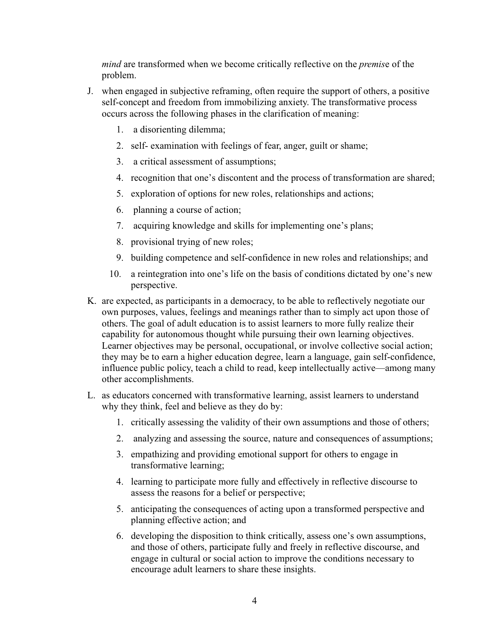*mind* are transformed when we become critically reflective on the *premis*e of the problem.

- J. when engaged in subjective reframing, often require the support of others, a positive self-concept and freedom from immobilizing anxiety. The transformative process occurs across the following phases in the clarification of meaning:
	- 1. a disorienting dilemma;
	- 2. self- examination with feelings of fear, anger, guilt or shame;
	- 3. a critical assessment of assumptions;
	- 4. recognition that one's discontent and the process of transformation are shared;
	- 5. exploration of options for new roles, relationships and actions;
	- 6. planning a course of action;
	- 7. acquiring knowledge and skills for implementing one's plans;
	- 8. provisional trying of new roles;
	- 9. building competence and self-confidence in new roles and relationships; and
	- 10. a reintegration into one's life on the basis of conditions dictated by one's new perspective.
- K. are expected, as participants in a democracy, to be able to reflectively negotiate our own purposes, values, feelings and meanings rather than to simply act upon those of others. The goal of adult education is to assist learners to more fully realize their capability for autonomous thought while pursuing their own learning objectives. Learner objectives may be personal, occupational, or involve collective social action; they may be to earn a higher education degree, learn a language, gain self-confidence, influence public policy, teach a child to read, keep intellectually active—among many other accomplishments.
- L. as educators concerned with transformative learning, assist learners to understand why they think, feel and believe as they do by:
	- 1. critically assessing the validity of their own assumptions and those of others;
	- 2. analyzing and assessing the source, nature and consequences of assumptions;
	- 3. empathizing and providing emotional support for others to engage in transformative learning;
	- 4. learning to participate more fully and effectively in reflective discourse to assess the reasons for a belief or perspective;
	- 5. anticipating the consequences of acting upon a transformed perspective and planning effective action; and
	- 6. developing the disposition to think critically, assess one's own assumptions, and those of others, participate fully and freely in reflective discourse, and engage in cultural or social action to improve the conditions necessary to encourage adult learners to share these insights.